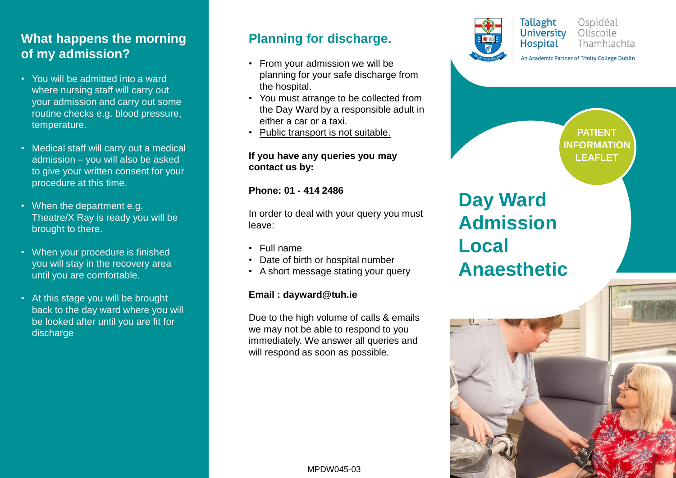### **What happens the morning of my admission?**

- You will be admitted into a ward where nursing staff will carry out your admission and carry out some routine checks e.g. blood pressure, temperature.
- Medical staff will carry out a medical admission – you will also be asked to give your written consent for your procedure at this time.
- When the department e.g. Theatre/X Ray is ready you will be brought to there.
- When your procedure is finished you will stay in the recovery area until you are comfortable.
- At this stage you will be brought back to the day ward where you will be looked after until you are fit for discharge

#### **Planning for discharge.**

- From your admission we will be planning for your safe discharge from the hospital.
- You must arrange to be collected from the Day Ward by a responsible adult in either a car or a taxi.
- Public transport is not suitable.

#### **If you have any queries you may contact us by:**

**Phone: 01 - 414 2486**

In order to deal with your query you must leave:

- Full name
- Date of birth or hospital number
- A short message stating your query

#### **Email : dayward@tuh.ie**

Due to the high volume of calls & emails we may not be able to respond to you immediately. We answer all queries and will respond as soon as possible.

MPDW045-03



**Tallaght** Ospidéal University Ollscoile **Hospital** Thamhlachta

An Academic Partner of Trinity College Dublin

**PATIENT INFORMATION LEAFLET**

# **Day Ward Admission Local Anaesthetic**